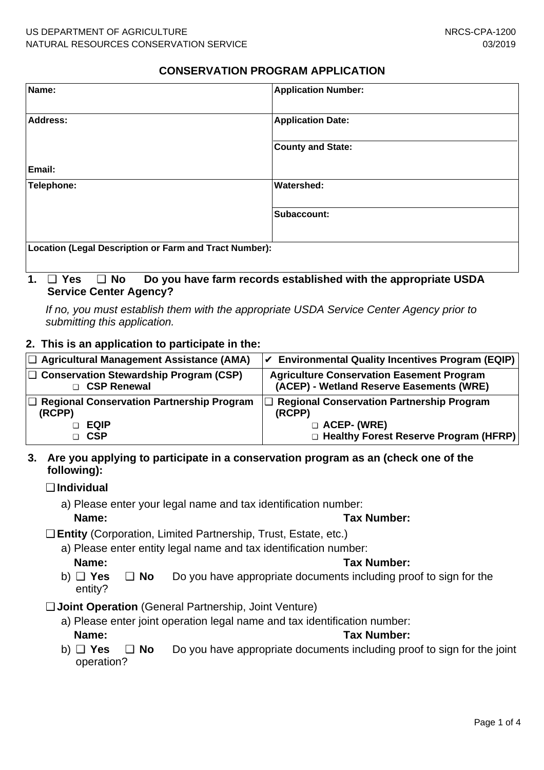# **CONSERVATION PROGRAM APPLICATION**

| Name:                                                  | <b>Application Number:</b> |  |
|--------------------------------------------------------|----------------------------|--|
| Address:                                               | <b>Application Date:</b>   |  |
|                                                        | <b>County and State:</b>   |  |
| Email:                                                 |                            |  |
| Telephone:                                             | <b>Watershed:</b>          |  |
|                                                        | Subaccount:                |  |
| Location (Legal Description or Farm and Tract Number): |                            |  |

### **1.** ❑ **Yes** ❑ **No Do you have farm records established with the appropriate USDA Service Center Agency?**

If no, you must establish them with the appropriate USDA Service Center Agency prior to submitting this application.

### **2. This is an application to participate in the:**

| $\Box$ Agricultural Management Assistance (AMA) | $\vert\mathbf{v}\vert$ Environmental Quality Incentives Program (EQIP) |
|-------------------------------------------------|------------------------------------------------------------------------|
| $\Box$ Conservation Stewardship Program (CSP)   | <b>Agriculture Conservation Easement Program</b>                       |
| □ CSP Renewal                                   | (ACEP) - Wetland Reserve Easements (WRE)                               |
| □ Regional Conservation Partnership Program     | □ Regional Conservation Partnership Program                            |
| (RCPP)                                          | (RCPP)                                                                 |
| EQIP                                            | <b>D</b> ACEP- (WRE)                                                   |
| <b>CSP</b>                                      | □ Healthy Forest Reserve Program (HFRP)                                |

# **3. Are you applying to participate in a conservation program as an (check one of the following):**

# ❑ **Individual**

- a) Please enter your legal name and tax identification number: **Name: Tax Number:**
- ❑ **Entity** (Corporation, Limited Partnership, Trust, Estate, etc.)
	- a) Please enter entity legal name and tax identification number:

### **Name: Tax Number:**

- b) ❑ **Yes** ❑ **No** Do you have appropriate documents including proof to sign for the entity?
- ❑ **Joint Operation** (General Partnership, Joint Venture)
	- a) Please enter joint operation legal name and tax identification number:

### **Name: Tax Number:**

b) ❑ **Yes** ❑ **No** Do you have appropriate documents including proof to sign for the joint operation?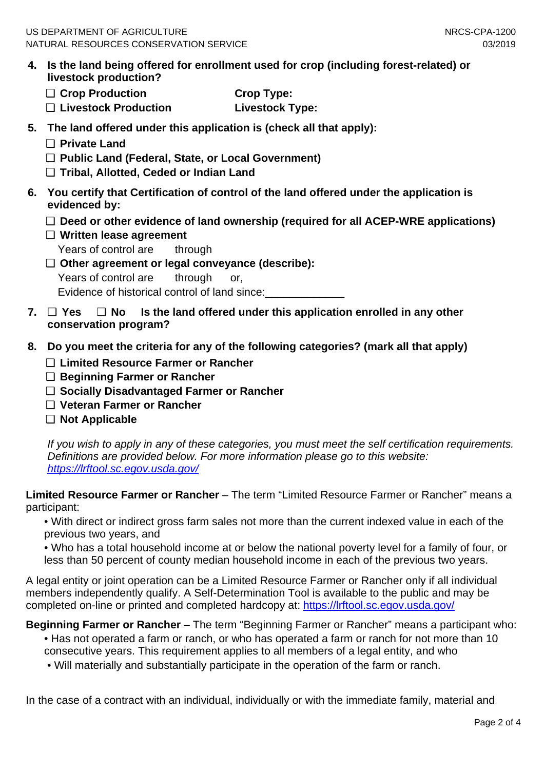- **4. Is the land being offered for enrollment used for crop (including forest-related) or livestock production?**
	- □ Crop Production **Crop Type:**
	- ❑ **Livestock Production Livestock Type:**
- **5. The land offered under this application is (check all that apply):**
	- ❑ **Private Land**
	- ❑ **Public Land (Federal, State, or Local Government)**
	- ❑ **Tribal, Allotted, Ceded or Indian Land**
- **6. You certify that Certification of control of the land offered under the application is evidenced by:**
	- ❑ **Deed or other evidence of land ownership (required for all ACEP-WRE applications)**
	- ❑ **Written lease agreement** Years of control are through
	- ❑ **Other agreement or legal conveyance (describe):** Years of control are through or, Evidence of historical control of land since:
- **7.** ❑ **Yes** ❑ **No Is the land offered under this application enrolled in any other conservation program?**
- **8. Do you meet the criteria for any of the following categories? (mark all that apply)**
	- ❑ **Limited Resource Farmer or Rancher**
	- ❑ **Beginning Farmer or Rancher**
	- ❑ **Socially Disadvantaged Farmer or Rancher**
	- ❑ **Veteran Farmer or Rancher**
	- ❑ **Not Applicable**

If you wish to apply in any of these categories, you must meet the self certification requirements. Definitions are provided below. For more information please go to this website: https://lrftool.sc.egov.usda.gov/

**Limited Resource Farmer or Rancher** – The term "Limited Resource Farmer or Rancher" means a participant:

• With direct or indirect gross farm sales not more than the current indexed value in each of the previous two years, and

• Who has a total household income at or below the national poverty level for a family of four, or less than 50 percent of county median household income in each of the previous two years.

A legal entity or joint operation can be a Limited Resource Farmer or Rancher only if all individual members independently qualify. A Self-Determination Tool is available to the public and may be completed on-line or printed and completed hardcopy at: https://lrftool.sc.egov.usda.gov/

**Beginning Farmer or Rancher** – The term "Beginning Farmer or Rancher" means a participant who: • Has not operated a farm or ranch, or who has operated a farm or ranch for not more than 10 consecutive years. This requirement applies to all members of a legal entity, and who

• Will materially and substantially participate in the operation of the farm or ranch.

In the case of a contract with an individual, individually or with the immediate family, material and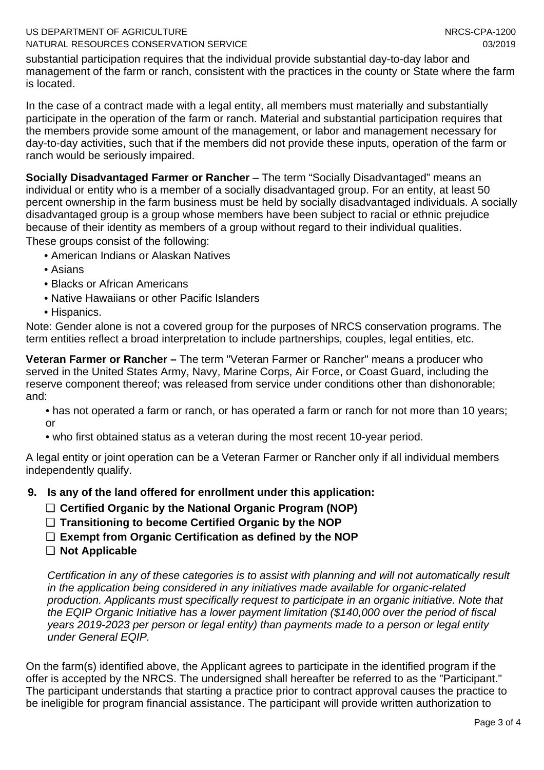### US DEPARTMENT OF AGRICULTURE NATURAL RESOURCES CONSERVATION SERVICE

substantial participation requires that the individual provide substantial day-to-day labor and management of the farm or ranch, consistent with the practices in the county or State where the farm is located.

In the case of a contract made with a legal entity, all members must materially and substantially participate in the operation of the farm or ranch. Material and substantial participation requires that the members provide some amount of the management, or labor and management necessary for day-to-day activities, such that if the members did not provide these inputs, operation of the farm or ranch would be seriously impaired.

**Socially Disadvantaged Farmer or Rancher** – The term "Socially Disadvantaged" means an individual or entity who is a member of a socially disadvantaged group. For an entity, at least 50 percent ownership in the farm business must be held by socially disadvantaged individuals. A socially disadvantaged group is a group whose members have been subject to racial or ethnic prejudice because of their identity as members of a group without regard to their individual qualities. These groups consist of the following:

- American Indians or Alaskan Natives
- Asians
- Blacks or African Americans
- Native Hawaiians or other Pacific Islanders
- Hispanics.

Note: Gender alone is not a covered group for the purposes of NRCS conservation programs. The term entities reflect a broad interpretation to include partnerships, couples, legal entities, etc.

**Veteran Farmer or Rancher –** The term "Veteran Farmer or Rancher" means a producer who served in the United States Army, Navy, Marine Corps, Air Force, or Coast Guard, including the reserve component thereof; was released from service under conditions other than dishonorable; and:

• has not operated a farm or ranch, or has operated a farm or ranch for not more than 10 years; or

• who first obtained status as a veteran during the most recent 10-year period.

A legal entity or joint operation can be a Veteran Farmer or Rancher only if all individual members independently qualify.

# **9. Is any of the land offered for enrollment under this application:**

- ❑ **Certified Organic by the National Organic Program (NOP)**
- ❑ **Transitioning to become Certified Organic by the NOP**
- ❑ **Exempt from Organic Certification as defined by the NOP**
- ❑ **Not Applicable**

Certification in any of these categories is to assist with planning and will not automatically result in the application being considered in any initiatives made available for organic-related production. Applicants must specifically request to participate in an organic initiative. Note that the EQIP Organic Initiative has a lower payment limitation (\$140,000 over the period of fiscal years 2019-2023 per person or legal entity) than payments made to a person or legal entity under General EQIP.

On the farm(s) identified above, the Applicant agrees to participate in the identified program if the offer is accepted by the NRCS. The undersigned shall hereafter be referred to as the "Participant." The participant understands that starting a practice prior to contract approval causes the practice to be ineligible for program financial assistance. The participant will provide written authorization to